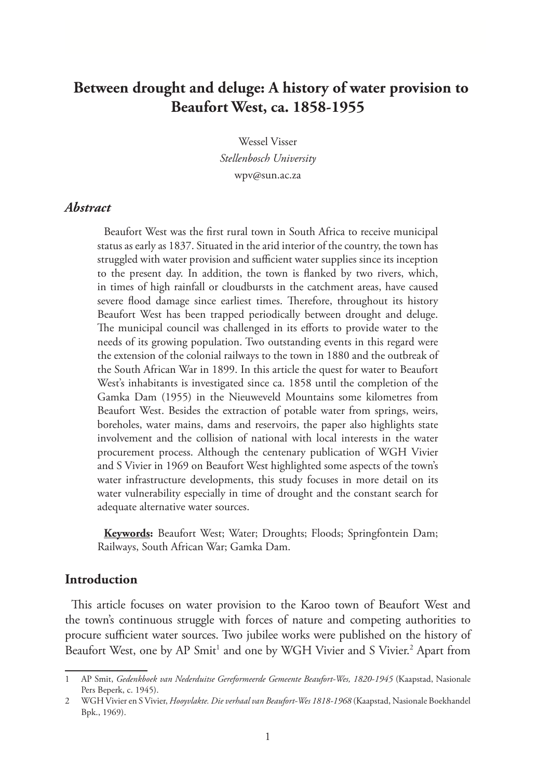# **Between drought and deluge: A history of water provision to Beaufort West, ca. 1858-1955**

Wessel Visser *Stellenbosch University* wpv@sun.ac.za

#### *Abstract*

Beaufort West was the first rural town in South Africa to receive municipal status as early as 1837. Situated in the arid interior of the country, the town has struggled with water provision and sufficient water supplies since its inception to the present day. In addition, the town is flanked by two rivers, which, in times of high rainfall or cloudbursts in the catchment areas, have caused severe flood damage since earliest times. Therefore, throughout its history Beaufort West has been trapped periodically between drought and deluge. The municipal council was challenged in its efforts to provide water to the needs of its growing population. Two outstanding events in this regard were the extension of the colonial railways to the town in 1880 and the outbreak of the South African War in 1899. In this article the quest for water to Beaufort West's inhabitants is investigated since ca. 1858 until the completion of the Gamka Dam (1955) in the Nieuweveld Mountains some kilometres from Beaufort West. Besides the extraction of potable water from springs, weirs, boreholes, water mains, dams and reservoirs, the paper also highlights state involvement and the collision of national with local interests in the water procurement process. Although the centenary publication of WGH Vivier and S Vivier in 1969 on Beaufort West highlighted some aspects of the town's water infrastructure developments, this study focuses in more detail on its water vulnerability especially in time of drought and the constant search for adequate alternative water sources.

**Keywords:** Beaufort West; Water; Droughts; Floods; Springfontein Dam; Railways, South African War; Gamka Dam.

#### **Introduction**

This article focuses on water provision to the Karoo town of Beaufort West and the town's continuous struggle with forces of nature and competing authorities to procure sufficient water sources. Two jubilee works were published on the history of Beaufort West, one by AP Smit<sup>1</sup> and one by WGH Vivier and S Vivier.<sup>2</sup> Apart from

<sup>1</sup> AP Smit, *Gedenkboek van Nederduitse Gereformeerde Gemeente Beaufort-Wes, 1820-1945* (Kaapstad, Nasionale Pers Beperk, c. 1945).

<sup>2</sup> WGH Vivier en S Vivier, *Hooyvlakte. Die verhaal van Beaufort-Wes 1818-1968* (Kaapstad, Nasionale Boekhandel Bpk., 1969).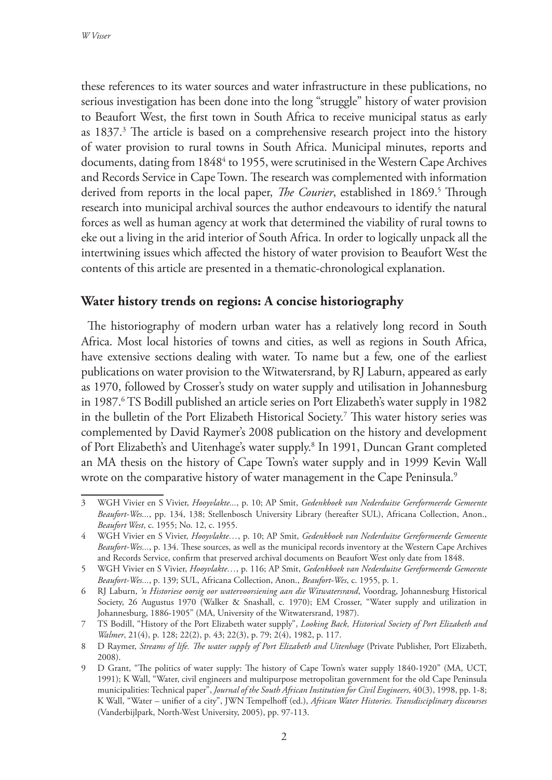these references to its water sources and water infrastructure in these publications, no serious investigation has been done into the long "struggle" history of water provision to Beaufort West, the first town in South Africa to receive municipal status as early as 1837.3 The article is based on a comprehensive research project into the history of water provision to rural towns in South Africa. Municipal minutes, reports and documents, dating from 18484 to 1955, were scrutinised in the Western Cape Archives and Records Service in Cape Town. The research was complemented with information derived from reports in the local paper, *The Courier*, established in 1869.<sup>5</sup> Through research into municipal archival sources the author endeavours to identify the natural forces as well as human agency at work that determined the viability of rural towns to eke out a living in the arid interior of South Africa. In order to logically unpack all the intertwining issues which affected the history of water provision to Beaufort West the contents of this article are presented in a thematic-chronological explanation.

#### **Water history trends on regions: A concise historiography**

The historiography of modern urban water has a relatively long record in South Africa. Most local histories of towns and cities, as well as regions in South Africa, have extensive sections dealing with water. To name but a few, one of the earliest publications on water provision to the Witwatersrand, by RJ Laburn, appeared as early as 1970, followed by Crosser's study on water supply and utilisation in Johannesburg in 1987.6 TS Bodill published an article series on Port Elizabeth's water supply in 1982 in the bulletin of the Port Elizabeth Historical Society.<sup>7</sup> This water history series was complemented by David Raymer's 2008 publication on the history and development of Port Elizabeth's and Uitenhage's water supply.<sup>8</sup> In 1991, Duncan Grant completed an MA thesis on the history of Cape Town's water supply and in 1999 Kevin Wall wrote on the comparative history of water management in the Cape Peninsula.<sup>9</sup>

<sup>3</sup> WGH Vivier en S Vivier, *Hooyvlakte...*, p. 10; AP Smit, *Gedenkboek van Nederduitse Gereformeerde Gemeente Beaufort-Wes...*, pp. 134, 138; Stellenbosch University Library (hereafter SUL), Africana Collection, Anon., *Beaufort West*, c. 1955; No. 12, c. 1955.

<sup>4</sup> WGH Vivier en S Vivier, *Hooyvlakte…*, p. 10; AP Smit, *Gedenkboek van Nederduitse Gereformeerde Gemeente Beaufort-Wes...*, p. 134. These sources, as well as the municipal records inventory at the Western Cape Archives and Records Service, confirm that preserved archival documents on Beaufort West only date from 1848.

<sup>5</sup> WGH Vivier en S Vivier, *Hooyvlakte…*, p. 116; AP Smit, *Gedenkboek van Nederduitse Gereformeerde Gemeente Beaufort-Wes...*, p. 139; SUL, Africana Collection, Anon., *Beaufort-Wes*, c. 1955, p. 1.

<sup>6</sup> RJ Laburn, *'n Historiese oorsig oor watervoorsiening aan die Witwatersrand*, Voordrag, Johannesburg Historical Society, 26 Augustus 1970 (Walker & Snashall, c. 1970); EM Crosser, "Water supply and utilization in Johannesburg, 1886-1905" (MA, University of the Witwatersrand, 1987).

<sup>7</sup> TS Bodill, "History of the Port Elizabeth water supply", *Looking Back, Historical Society of Port Elizabeth and Walmer*, 21(4), p. 128; 22(2), p. 43; 22(3), p. 79; 2(4), 1982, p. 117.

<sup>8</sup> D Raymer, *Streams of life. The water supply of Port Elizabeth and Uitenhage* (Private Publisher, Port Elizabeth, 2008).

<sup>9</sup> D Grant, "The politics of water supply: The history of Cape Town's water supply 1840-1920" (MA, UCT, 1991); K Wall, "Water, civil engineers and multipurpose metropolitan government for the old Cape Peninsula municipalities: Technical paper", *Journal of the South African Institution for Civil Engineers,* 40(3), 1998, pp. 1-8; K Wall, "Water – unifier of a city", JWN Tempelhoff (ed.), *African Water Histories. Transdisciplinary discourses* (Vanderbijlpark, North-West University, 2005), pp. 97-113.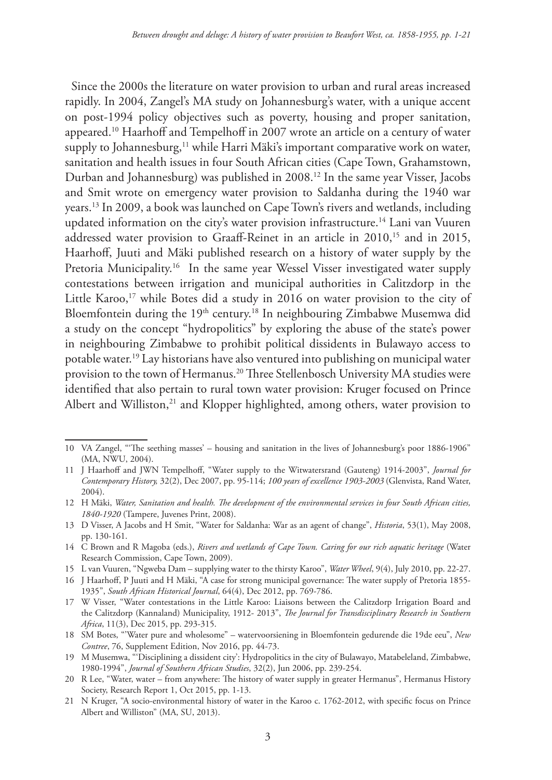Since the 2000s the literature on water provision to urban and rural areas increased rapidly. In 2004, Zangel's MA study on Johannesburg's water, with a unique accent on post-1994 policy objectives such as poverty, housing and proper sanitation, appeared.10 Haarhoff and Tempelhoff in 2007 wrote an article on a century of water supply to Johannesburg,<sup>11</sup> while Harri Mäki's important comparative work on water, sanitation and health issues in four South African cities (Cape Town, Grahamstown, Durban and Johannesburg) was published in 2008.12 In the same year Visser, Jacobs and Smit wrote on emergency water provision to Saldanha during the 1940 war years.13 In 2009, a book was launched on Cape Town's rivers and wetlands, including updated information on the city's water provision infrastructure.14 Lani van Vuuren addressed water provision to Graaff-Reinet in an article in 2010,15 and in 2015, Haarhoff, Juuti and Mäki published research on a history of water supply by the Pretoria Municipality.<sup>16</sup> In the same year Wessel Visser investigated water supply contestations between irrigation and municipal authorities in Calitzdorp in the Little Karoo,<sup>17</sup> while Botes did a study in 2016 on water provision to the city of Bloemfontein during the 19<sup>th</sup> century.<sup>18</sup> In neighbouring Zimbabwe Musemwa did a study on the concept "hydropolitics" by exploring the abuse of the state's power in neighbouring Zimbabwe to prohibit political dissidents in Bulawayo access to potable water.19 Lay historians have also ventured into publishing on municipal water provision to the town of Hermanus.20 Three Stellenbosch University MA studies were identified that also pertain to rural town water provision: Kruger focused on Prince Albert and Williston,<sup>21</sup> and Klopper highlighted, among others, water provision to

<sup>10</sup> VA Zangel, "'The seething masses' – housing and sanitation in the lives of Johannesburg's poor 1886-1906" (MA, NWU, 2004).

<sup>11</sup> J Haarhoff and JWN Tempelhoff, "Water supply to the Witwatersrand (Gauteng) 1914-2003", *Journal for Contemporary History,* 32(2), Dec 2007, pp. 95-114; *100 years of excellence 1903-2003* (Glenvista, Rand Water, 2004).

<sup>12</sup> H Mäki, *Water, Sanitation and health. The development of the environmental services in four South African cities, 1840-1920* (Tampere, Juvenes Print, 2008).

<sup>13</sup> D Visser, A Jacobs and H Smit, "Water for Saldanha: War as an agent of change", *Historia*, 53(1), May 2008, pp. 130-161.

<sup>14</sup> C Brown and R Magoba (eds.), *Rivers and wetlands of Cape Town. Caring for our rich aquatic heritage* (Water Research Commission, Cape Town, 2009).

<sup>15</sup> L van Vuuren, "Ngweba Dam – supplying water to the thirsty Karoo", *Water Wheel*, 9(4), July 2010, pp. 22-27.

<sup>16</sup> J Haarhoff, P Juuti and H Mäki, "A case for strong municipal governance: The water supply of Pretoria 1855- 1935", *South African Historical Journal*, 64(4), Dec 2012, pp. 769-786.

<sup>17</sup> W Visser, "Water contestations in the Little Karoo: Liaisons between the Calitzdorp Irrigation Board and the Calitzdorp (Kannaland) Municipality, 1912- 2013", *The Journal for Transdisciplinary Research in Southern Africa*, 11(3), Dec 2015, pp. 293-315.

<sup>18</sup> SM Botes, "'Water pure and wholesome" – watervoorsiening in Bloemfontein gedurende die 19de eeu", *New Contree*, 76, Supplement Edition, Nov 2016, pp. 44-73.

<sup>19</sup> M Musemwa, "'Disciplining a dissident city': Hydropolitics in the city of Bulawayo, Matabeleland, Zimbabwe, 1980-1994", *Journal of Southern African Studies*, 32(2), Jun 2006, pp. 239-254.

<sup>20</sup> R Lee, "Water, water – from anywhere: The history of water supply in greater Hermanus", Hermanus History Society, Research Report 1, Oct 2015, pp. 1-13.

<sup>21</sup> N Kruger, "A socio-environmental history of water in the Karoo c. 1762-2012, with specific focus on Prince Albert and Williston" (MA, SU, 2013).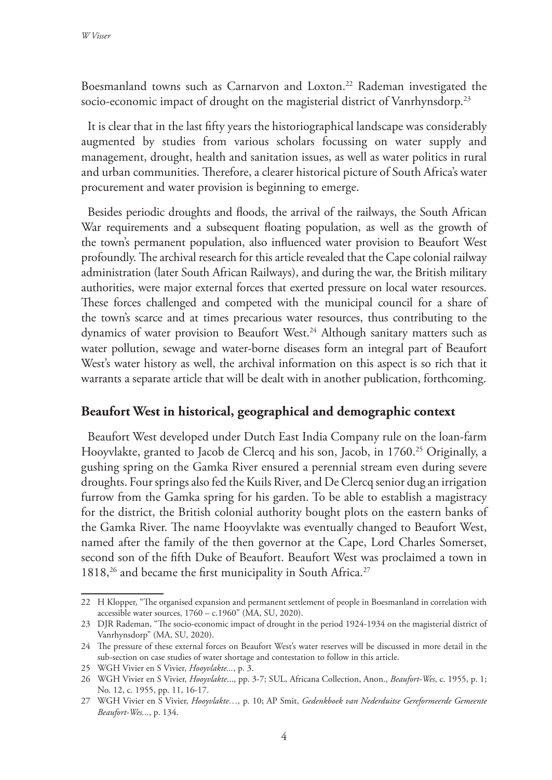Boesmanland towns such as Carnarvon and Loxton.<sup>22</sup> Rademan investigated the socio-economic impact of drought on the magisterial district of Vanrhynsdorp.<sup>23</sup>

It is clear that in the last fifty years the historiographical landscape was considerably augmented by studies from various scholars focussing on water supply and management, drought, health and sanitation issues, as well as water politics in rural and urban communities. Therefore, a clearer historical picture of South Africa's water procurement and water provision is beginning to emerge.

Besides periodic droughts and floods, the arrival of the railways, the South African War requirements and a subsequent floating population, as well as the growth of the town's permanent population, also influenced water provision to Beaufort West profoundly. The archival research for this article revealed that the Cape colonial railway administration (later South African Railways), and during the war, the British military authorities, were major external forces that exerted pressure on local water resources. These forces challenged and competed with the municipal council for a share of the town's scarce and at times precarious water resources, thus contributing to the dynamics of water provision to Beaufort West.<sup>24</sup> Although sanitary matters such as water pollution, sewage and water-borne diseases form an integral part of Beaufort West's water history as well, the archival information on this aspect is so rich that it warrants a separate article that will be dealt with in another publication, forthcoming.

### **Beaufort West in historical, geographical and demographic context**

Beaufort West developed under Dutch East India Company rule on the loan-farm Hooyvlakte, granted to Jacob de Clercq and his son, Jacob, in 1760.<sup>25</sup> Originally, a gushing spring on the Gamka River ensured a perennial stream even during severe droughts. Four springs also fed the Kuils River, and De Clercq senior dug an irrigation furrow from the Gamka spring for his garden. To be able to establish a magistracy for the district, the British colonial authority bought plots on the eastern banks of the Gamka River. The name Hooyvlakte was eventually changed to Beaufort West, named after the family of the then governor at the Cape, Lord Charles Somerset, second son of the fifth Duke of Beaufort. Beaufort West was proclaimed a town in 1818, $^{26}$  and became the first municipality in South Africa.<sup>27</sup>

<sup>22</sup> H Klopper, "The organised expansion and permanent settlement of people in Boesmanland in correlation with accessible water sources, 1760 – c.1960" (MA, SU, 2020).

<sup>23</sup> DJR Rademan, "The socio-economic impact of drought in the period 1924-1934 on the magisterial district of Vanrhynsdorp" (MA, SU, 2020).

<sup>24</sup> The pressure of these external forces on Beaufort West's water reserves will be discussed in more detail in the sub-section on case studies of water shortage and contestation to follow in this article.

<sup>25</sup> WGH Vivier en S Vivier, *Hooyvlakte...*, p. 3.

<sup>26</sup> WGH Vivier en S Vivier, *Hooyvlakte*..., pp. 3-7; SUL, Africana Collection, Anon., *Beaufort-Wes*, c. 1955, p. 1; No. 12, c. 1955, pp. 11, 16-17.

<sup>27</sup> WGH Vivier en S Vivier, *Hooyvlakte…,* p. 10; AP Smit, *Gedenkboek van Nederduitse Gereformeerde Gemeente Beaufort-Wes...*, p. 134.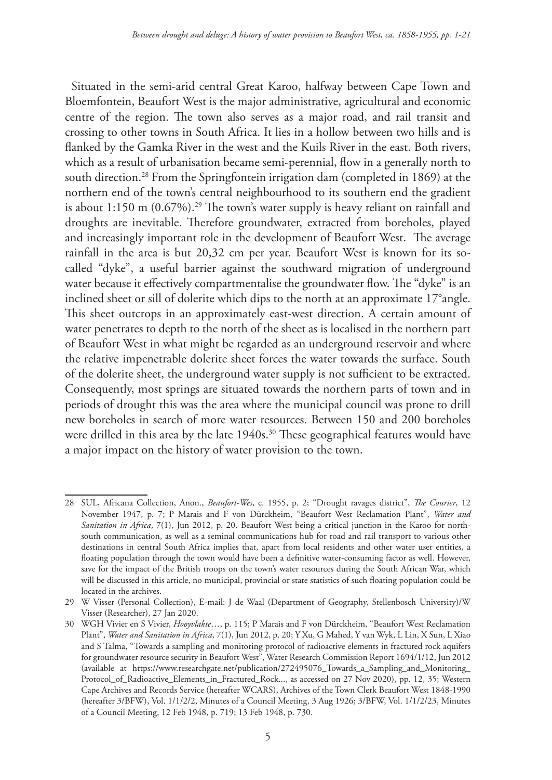Situated in the semi-arid central Great Karoo, halfway between Cape Town and Bloemfontein, Beaufort West is the major administrative, agricultural and economic centre of the region. The town also serves as a major road, and rail transit and crossing to other towns in South Africa. It lies in a hollow between two hills and is flanked by the Gamka River in the west and the Kuils River in the east. Both rivers, which as a result of urbanisation became semi-perennial, flow in a generally north to south direction.<sup>28</sup> From the Springfontein irrigation dam (completed in 1869) at the northern end of the town's central neighbourhood to its southern end the gradient is about 1:150 m  $(0.67\%)$ .<sup>29</sup> The town's water supply is heavy reliant on rainfall and droughts are inevitable. Therefore groundwater, extracted from boreholes, played and increasingly important role in the development of Beaufort West. The average rainfall in the area is but 20,32 cm per year. Beaufort West is known for its socalled "dyke", a useful barrier against the southward migration of underground water because it effectively compartmentalise the groundwater flow. The "dyke" is an inclined sheet or sill of dolerite which dips to the north at an approximate 17°angle. This sheet outcrops in an approximately east-west direction. A certain amount of water penetrates to depth to the north of the sheet as is localised in the northern part of Beaufort West in what might be regarded as an underground reservoir and where the relative impenetrable dolerite sheet forces the water towards the surface. South of the dolerite sheet, the underground water supply is not sufficient to be extracted. Consequently, most springs are situated towards the northern parts of town and in periods of drought this was the area where the municipal council was prone to drill new boreholes in search of more water resources. Between 150 and 200 boreholes were drilled in this area by the late 1940s.<sup>30</sup> These geographical features would have a major impact on the history of water provision to the town.

<sup>28</sup> SUL, Africana Collection, Anon., *Beaufort-Wes*, c. 1955, p. 2; "Drought ravages district", *The Courier*, 12 November 1947, p. 7; P Marais and F von Dürckheim, "Beaufort West Reclamation Plant", *Water and Sanitation in Africa*, 7(1), Jun 2012, p. 20. Beaufort West being a critical junction in the Karoo for northsouth communication, as well as a seminal communications hub for road and rail transport to various other destinations in central South Africa implies that, apart from local residents and other water user entities, a floating population through the town would have been a definitive water-consuming factor as well. However, save for the impact of the British troops on the town's water resources during the South African War, which will be discussed in this article, no municipal, provincial or state statistics of such floating population could be located in the archives.

<sup>29</sup> W Visser (Personal Collection), E-mail: J de Waal (Department of Geography, Stellenbosch University)/W Visser (Researcher), 27 Jan 2020.

<sup>30</sup> WGH Vivier en S Vivier, *Hooyvlakte*…, p. 115; P Marais and F von Dürckheim, "Beaufort West Reclamation Plant", *Water and Sanitation in Africa*, 7(1), Jun 2012, p. 20; Y Xu, G Mahed, Y van Wyk, L Lin, X Sun, L Xiao and S Talma, "Towards a sampling and monitoring protocol of radioactive elements in fractured rock aquifers for groundwater resource security in Beaufort West", Water Research Commission Report 1694/1/12, Jun 2012 (available at https://www.researchgate.net/publication/272495076\_Towards\_a\_Sampling\_and\_Monitoring\_ Protocol\_of\_Radioactive\_Elements\_in\_Fractured\_Rock..., as accessed on 27 Nov 2020), pp. 12, 35; Western Cape Archives and Records Service (hereafter WCARS), Archives of the Town Clerk Beaufort West 1848-1990 (hereafter 3/BFW), Vol. 1/1/2/2, Minutes of a Council Meeting, 3 Aug 1926; 3/BFW, Vol. 1/1/2/23, Minutes of a Council Meeting, 12 Feb 1948, p. 719; 13 Feb 1948, p. 730.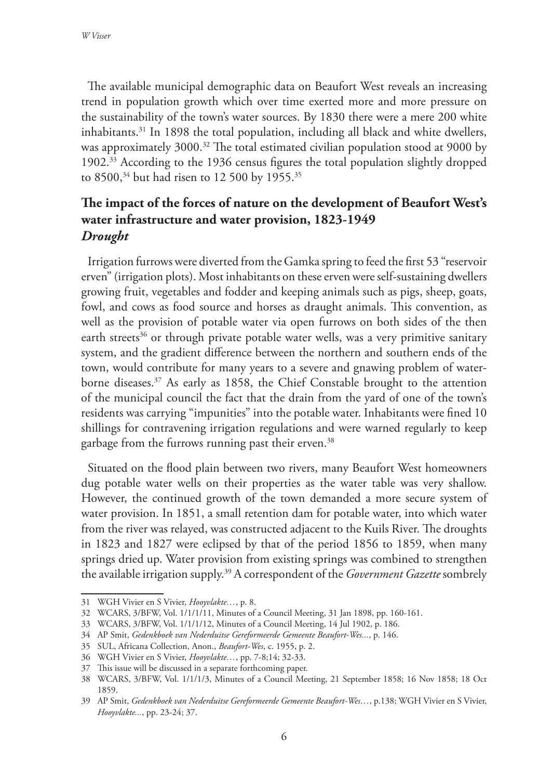The available municipal demographic data on Beaufort West reveals an increasing trend in population growth which over time exerted more and more pressure on the sustainability of the town's water sources. By 1830 there were a mere 200 white inhabitants.<sup>31</sup> In 1898 the total population, including all black and white dwellers, was approximately 3000.<sup>32</sup> The total estimated civilian population stood at 9000 by 1902.33 According to the 1936 census figures the total population slightly dropped to 8500,<sup>34</sup> but had risen to 12 500 by 1955.<sup>35</sup>

## **The impact of the forces of nature on the development of Beaufort West's water infrastructure and water provision, 1823-1949**  *Drought*

Irrigation furrows were diverted from the Gamka spring to feed the first 53 "reservoir erven" (irrigation plots). Most inhabitants on these erven were self-sustaining dwellers growing fruit, vegetables and fodder and keeping animals such as pigs, sheep, goats, fowl, and cows as food source and horses as draught animals. This convention, as well as the provision of potable water via open furrows on both sides of the then earth streets<sup>36</sup> or through private potable water wells, was a very primitive sanitary system, and the gradient difference between the northern and southern ends of the town, would contribute for many years to a severe and gnawing problem of waterborne diseases.37 As early as 1858, the Chief Constable brought to the attention of the municipal council the fact that the drain from the yard of one of the town's residents was carrying "impunities" into the potable water. Inhabitants were fined 10 shillings for contravening irrigation regulations and were warned regularly to keep garbage from the furrows running past their erven.<sup>38</sup>

Situated on the flood plain between two rivers, many Beaufort West homeowners dug potable water wells on their properties as the water table was very shallow. However, the continued growth of the town demanded a more secure system of water provision. In 1851, a small retention dam for potable water, into which water from the river was relayed, was constructed adjacent to the Kuils River. The droughts in 1823 and 1827 were eclipsed by that of the period 1856 to 1859, when many springs dried up. Water provision from existing springs was combined to strengthen the available irrigation supply.39 A correspondent of the *Government Gazette* sombrely

<sup>31</sup> WGH Vivier en S Vivier, *Hooyvlakte…*, p. 8.

<sup>32</sup> WCARS, 3/BFW, Vol. 1/1/1/11, Minutes of a Council Meeting, 31 Jan 1898, pp. 160-161.

<sup>33</sup> WCARS, 3/BFW, Vol. 1/1/1/12, Minutes of a Council Meeting, 14 Jul 1902, p. 186.

<sup>34</sup> AP Smit, *Gedenkboek van Nederduitse Gereformeerde Gemeente Beaufort-Wes...*, p. 146.

<sup>35</sup> SUL, Africana Collection, Anon., *Beaufort-Wes*, c. 1955, p. 2.

<sup>36</sup> WGH Vivier en S Vivier, *Hooyvlakte…*, pp. 7-8;14; 32-33.

<sup>37</sup> This issue will be discussed in a separate forthcoming paper.

<sup>38</sup> WCARS, 3/BFW, Vol. 1/1/1/3, Minutes of a Council Meeting, 21 September 1858; 16 Nov 1858; 18 Oct 1859.

<sup>39</sup> AP Smit, *Gedenkboek van Nederduitse Gereformeerde Gemeente Beaufort-Wes…*, p.138; WGH Vivier en S Vivier, *Hooyvlakte...*, pp. 23-24; 37.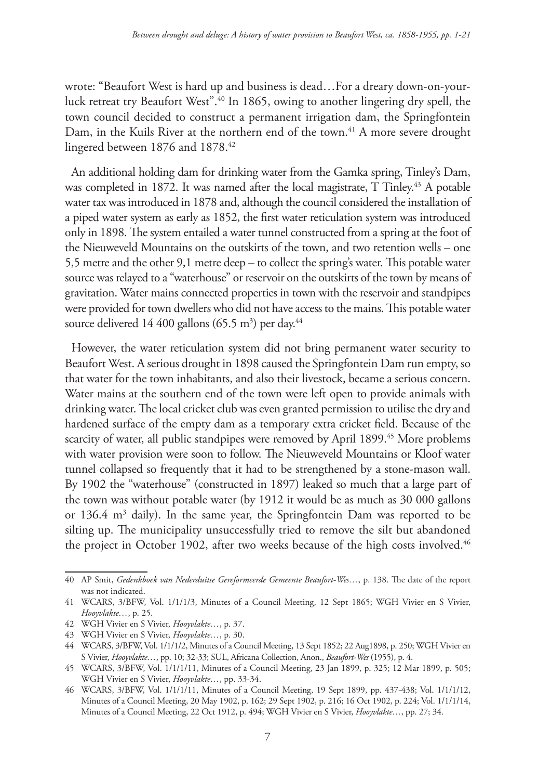wrote: "Beaufort West is hard up and business is dead…For a dreary down-on-yourluck retreat try Beaufort West".40 In 1865, owing to another lingering dry spell, the town council decided to construct a permanent irrigation dam, the Springfontein Dam, in the Kuils River at the northern end of the town.<sup>41</sup> A more severe drought lingered between 1876 and 1878.42

An additional holding dam for drinking water from the Gamka spring, Tinley's Dam, was completed in 1872. It was named after the local magistrate, T Tinley.<sup>43</sup> A potable water tax was introduced in 1878 and, although the council considered the installation of a piped water system as early as 1852, the first water reticulation system was introduced only in 1898. The system entailed a water tunnel constructed from a spring at the foot of the Nieuweveld Mountains on the outskirts of the town, and two retention wells – one 5,5 metre and the other 9,1 metre deep – to collect the spring's water. This potable water source was relayed to a "waterhouse" or reservoir on the outskirts of the town by means of gravitation. Water mains connected properties in town with the reservoir and standpipes were provided for town dwellers who did not have access to the mains. This potable water source delivered 14 400 gallons (65.5 m<sup>3</sup>) per day.<sup>44</sup>

However, the water reticulation system did not bring permanent water security to Beaufort West. A serious drought in 1898 caused the Springfontein Dam run empty, so that water for the town inhabitants, and also their livestock, became a serious concern. Water mains at the southern end of the town were left open to provide animals with drinking water. The local cricket club was even granted permission to utilise the dry and hardened surface of the empty dam as a temporary extra cricket field. Because of the scarcity of water, all public standpipes were removed by April 1899.<sup>45</sup> More problems with water provision were soon to follow. The Nieuweveld Mountains or Kloof water tunnel collapsed so frequently that it had to be strengthened by a stone-mason wall. By 1902 the "waterhouse" (constructed in 1897) leaked so much that a large part of the town was without potable water (by 1912 it would be as much as 30 000 gallons or 136.4 m<sup>3</sup> daily). In the same year, the Springfontein Dam was reported to be silting up. The municipality unsuccessfully tried to remove the silt but abandoned the project in October 1902, after two weeks because of the high costs involved.<sup>46</sup>

<sup>40</sup> AP Smit, *Gedenkboek van Nederduitse Gereformeerde Gemeente Beaufort-Wes…*, p. 138. The date of the report was not indicated.

<sup>41</sup> WCARS, 3/BFW, Vol. 1/1/1/3, Minutes of a Council Meeting, 12 Sept 1865; WGH Vivier en S Vivier, *Hooyvlakte…*, p. 25.

<sup>42</sup> WGH Vivier en S Vivier, *Hooyvlakte…*, p. 37.

<sup>43</sup> WGH Vivier en S Vivier, *Hooyvlakte…*, p. 30.

<sup>44</sup> WCARS, 3/BFW, Vol. 1/1/1/2, Minutes of a Council Meeting, 13 Sept 1852; 22 Aug1898, p. 250; WGH Vivier en S Vivier, *Hooyvlakte…*, pp. 10; 32-33; SUL, Africana Collection, Anon., *Beaufort-Wes* (1955), p. 4.

<sup>45</sup> WCARS, 3/BFW, Vol. 1/1/1/11, Minutes of a Council Meeting, 23 Jan 1899, p. 325; 12 Mar 1899, p. 505; WGH Vivier en S Vivier, *Hooyvlakte…*, pp. 33-34.

<sup>46</sup> WCARS, 3/BFW, Vol. 1/1/1/11, Minutes of a Council Meeting, 19 Sept 1899, pp. 437-438; Vol. 1/1/1/12, Minutes of a Council Meeting, 20 May 1902, p. 162; 29 Sept 1902, p. 216; 16 Oct 1902, p. 224; Vol. 1/1/1/14, Minutes of a Council Meeting, 22 Oct 1912, p. 494; WGH Vivier en S Vivier, *Hooyvlakte…*, pp. 27; 34.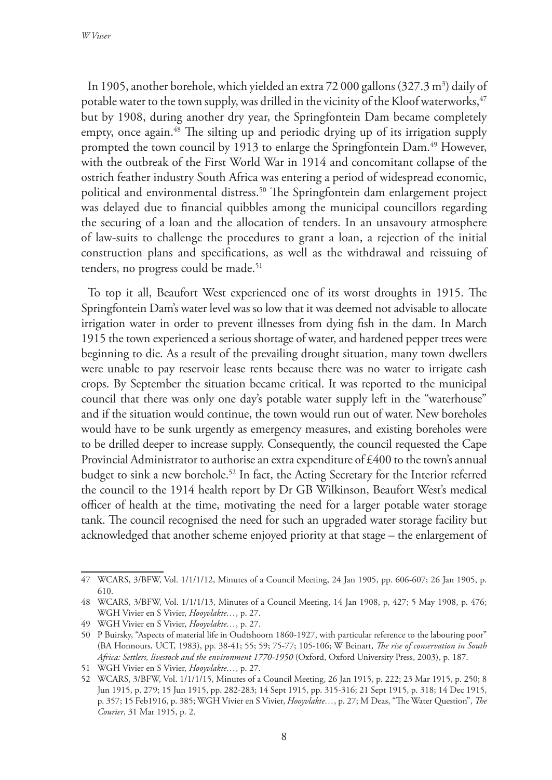*W Visser*

In 1905, another borehole, which yielded an extra 72 000 gallons (327.3 m<sup>3</sup>) daily of potable water to the town supply, was drilled in the vicinity of the Kloof waterworks,<sup>47</sup> but by 1908, during another dry year, the Springfontein Dam became completely empty, once again.<sup>48</sup> The silting up and periodic drying up of its irrigation supply prompted the town council by 1913 to enlarge the Springfontein Dam.49 However, with the outbreak of the First World War in 1914 and concomitant collapse of the ostrich feather industry South Africa was entering a period of widespread economic, political and environmental distress.<sup>50</sup> The Springfontein dam enlargement project was delayed due to financial quibbles among the municipal councillors regarding the securing of a loan and the allocation of tenders. In an unsavoury atmosphere of law-suits to challenge the procedures to grant a loan, a rejection of the initial construction plans and specifications, as well as the withdrawal and reissuing of tenders, no progress could be made.<sup>51</sup>

To top it all, Beaufort West experienced one of its worst droughts in 1915. The Springfontein Dam's water level was so low that it was deemed not advisable to allocate irrigation water in order to prevent illnesses from dying fish in the dam. In March 1915 the town experienced a serious shortage of water, and hardened pepper trees were beginning to die. As a result of the prevailing drought situation, many town dwellers were unable to pay reservoir lease rents because there was no water to irrigate cash crops. By September the situation became critical. It was reported to the municipal council that there was only one day's potable water supply left in the "waterhouse" and if the situation would continue, the town would run out of water. New boreholes would have to be sunk urgently as emergency measures, and existing boreholes were to be drilled deeper to increase supply. Consequently, the council requested the Cape Provincial Administrator to authorise an extra expenditure of £400 to the town's annual budget to sink a new borehole.<sup>52</sup> In fact, the Acting Secretary for the Interior referred the council to the 1914 health report by Dr GB Wilkinson, Beaufort West's medical officer of health at the time, motivating the need for a larger potable water storage tank. The council recognised the need for such an upgraded water storage facility but acknowledged that another scheme enjoyed priority at that stage – the enlargement of

<sup>47</sup> WCARS, 3/BFW, Vol. 1/1/1/12, Minutes of a Council Meeting, 24 Jan 1905, pp. 606-607; 26 Jan 1905, p. 610.

<sup>48</sup> WCARS, 3/BFW, Vol. 1/1/1/13, Minutes of a Council Meeting, 14 Jan 1908, p, 427; 5 May 1908, p. 476; WGH Vivier en S Vivier, *Hooyvlakte…*, p. 27.

<sup>49</sup> WGH Vivier en S Vivier, *Hooyvlakte…*, p. 27.

<sup>50</sup> P Buirsky, "Aspects of material life in Oudtshoorn 1860-1927, with particular reference to the labouring poor" (BA Honnours, UCT, 1983), pp. 38-41; 55; 59; 75-77; 105-106; W Beinart, *The rise of conservation in South Africa: Settlers, livestock and the environment 1770-1950* (Oxford, Oxford University Press, 2003), p. 187.

<sup>51</sup> WGH Vivier en S Vivier, *Hooyvlakte…*, p. 27.

<sup>52</sup> WCARS, 3/BFW, Vol. 1/1/1/15, Minutes of a Council Meeting, 26 Jan 1915, p. 222; 23 Mar 1915, p. 250; 8 Jun 1915, p. 279; 15 Jun 1915, pp. 282-283; 14 Sept 1915, pp. 315-316; 21 Sept 1915, p. 318; 14 Dec 1915, p. 357; 15 Feb1916, p. 385; WGH Vivier en S Vivier, *Hooyvlakte…*, p. 27; M Deas, "The Water Question", *The Courier*, 31 Mar 1915, p. 2.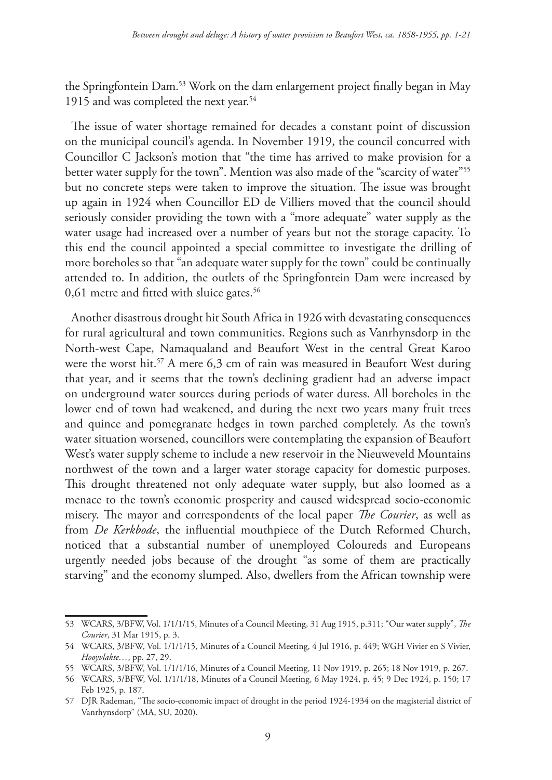the Springfontein Dam.53 Work on the dam enlargement project finally began in May 1915 and was completed the next year.<sup>54</sup>

The issue of water shortage remained for decades a constant point of discussion on the municipal council's agenda. In November 1919, the council concurred with Councillor C Jackson's motion that "the time has arrived to make provision for a better water supply for the town". Mention was also made of the "scarcity of water"<sup>55</sup> but no concrete steps were taken to improve the situation. The issue was brought up again in 1924 when Councillor ED de Villiers moved that the council should seriously consider providing the town with a "more adequate" water supply as the water usage had increased over a number of years but not the storage capacity. To this end the council appointed a special committee to investigate the drilling of more boreholes so that "an adequate water supply for the town" could be continually attended to. In addition, the outlets of the Springfontein Dam were increased by 0,61 metre and fitted with sluice gates.<sup>56</sup>

Another disastrous drought hit South Africa in 1926 with devastating consequences for rural agricultural and town communities. Regions such as Vanrhynsdorp in the North-west Cape, Namaqualand and Beaufort West in the central Great Karoo were the worst hit.<sup>57</sup> A mere 6,3 cm of rain was measured in Beaufort West during that year, and it seems that the town's declining gradient had an adverse impact on underground water sources during periods of water duress. All boreholes in the lower end of town had weakened, and during the next two years many fruit trees and quince and pomegranate hedges in town parched completely. As the town's water situation worsened, councillors were contemplating the expansion of Beaufort West's water supply scheme to include a new reservoir in the Nieuweveld Mountains northwest of the town and a larger water storage capacity for domestic purposes. This drought threatened not only adequate water supply, but also loomed as a menace to the town's economic prosperity and caused widespread socio-economic misery. The mayor and correspondents of the local paper *The Courier*, as well as from *De Kerkbode*, the influential mouthpiece of the Dutch Reformed Church, noticed that a substantial number of unemployed Coloureds and Europeans urgently needed jobs because of the drought "as some of them are practically starving" and the economy slumped. Also, dwellers from the African township were

<sup>53</sup> WCARS, 3/BFW, Vol. 1/1/1/15, Minutes of a Council Meeting, 31 Aug 1915, p.311; "Our water supply", *The Courier*, 31 Mar 1915, p. 3.

<sup>54</sup> WCARS, 3/BFW, Vol. 1/1/1/15, Minutes of a Council Meeting, 4 Jul 1916, p. 449; WGH Vivier en S Vivier, *Hooyvlakte…*, pp. 27, 29.

<sup>55</sup> WCARS, 3/BFW, Vol. 1/1/1/16, Minutes of a Council Meeting, 11 Nov 1919, p. 265; 18 Nov 1919, p. 267.

<sup>56</sup> WCARS, 3/BFW, Vol. 1/1/1/18, Minutes of a Council Meeting, 6 May 1924, p. 45; 9 Dec 1924, p. 150; 17 Feb 1925, p. 187.

<sup>57</sup> DJR Rademan, "The socio-economic impact of drought in the period 1924-1934 on the magisterial district of Vanrhynsdorp" (MA, SU, 2020).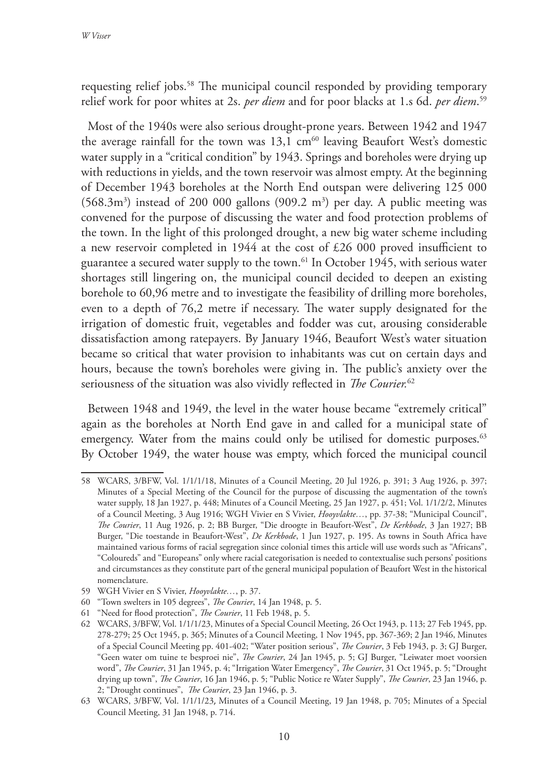*W Visser*

requesting relief jobs.58 The municipal council responded by providing temporary relief work for poor whites at 2s. *per diem* and for poor blacks at 1.s 6d. *per diem*. 59

Most of the 1940s were also serious drought-prone years. Between 1942 and 1947 the average rainfall for the town was  $13.1 \text{ cm}^{60}$  leaving Beaufort West's domestic water supply in a "critical condition" by 1943. Springs and boreholes were drying up with reductions in yields, and the town reservoir was almost empty. At the beginning of December 1943 boreholes at the North End outspan were delivering 125 000  $(568.3m<sup>3</sup>)$  instead of 200 000 gallons  $(909.2 \text{ m}^3)$  per day. A public meeting was convened for the purpose of discussing the water and food protection problems of the town. In the light of this prolonged drought, a new big water scheme including a new reservoir completed in 1944 at the cost of £26 000 proved insufficient to guarantee a secured water supply to the town.61 In October 1945, with serious water shortages still lingering on, the municipal council decided to deepen an existing borehole to 60,96 metre and to investigate the feasibility of drilling more boreholes, even to a depth of 76,2 metre if necessary. The water supply designated for the irrigation of domestic fruit, vegetables and fodder was cut, arousing considerable dissatisfaction among ratepayers. By January 1946, Beaufort West's water situation became so critical that water provision to inhabitants was cut on certain days and hours, because the town's boreholes were giving in. The public's anxiety over the seriousness of the situation was also vividly reflected in *The Courier.*<sup>62</sup>

Between 1948 and 1949, the level in the water house became "extremely critical" again as the boreholes at North End gave in and called for a municipal state of emergency. Water from the mains could only be utilised for domestic purposes.<sup>63</sup> By October 1949, the water house was empty, which forced the municipal council

<sup>58</sup> WCARS, 3/BFW, Vol. 1/1/1/18, Minutes of a Council Meeting, 20 Jul 1926, p. 391; 3 Aug 1926, p. 397; Minutes of a Special Meeting of the Council for the purpose of discussing the augmentation of the town's water supply, 18 Jan 1927, p. 448; Minutes of a Council Meeting, 25 Jan 1927, p. 451; Vol. 1/1/2/2, Minutes of a Council Meeting, 3 Aug 1916; WGH Vivier en S Vivier, *Hooyvlakte…*, pp. 37-38; "Municipal Council", *The Courier*, 11 Aug 1926, p. 2; BB Burger, "Die droogte in Beaufort-West", *De Kerkbode*, 3 Jan 1927; BB Burger, "Die toestande in Beaufort-West", *De Kerkbode*, 1 Jun 1927, p. 195. As towns in South Africa have maintained various forms of racial segregation since colonial times this article will use words such as "Africans", "Coloureds" and "Europeans" only where racial categorisation is needed to contextualise such persons' positions and circumstances as they constitute part of the general municipal population of Beaufort West in the historical nomenclature.

<sup>59</sup> WGH Vivier en S Vivier, *Hooyvlakte…*, p. 37.

<sup>60</sup> "Town swelters in 105 degrees", *The Courier*, 14 Jan 1948, p. 5.

<sup>61</sup> "Need for flood protection", *The Courier*, 11 Feb 1948, p. 5.

<sup>62</sup> WCARS, 3/BFW, Vol. 1/1/1/23, Minutes of a Special Council Meeting, 26 Oct 1943, p. 113; 27 Feb 1945, pp. 278-279; 25 Oct 1945, p. 365; Minutes of a Council Meeting, 1 Nov 1945, pp. 367-369; 2 Jan 1946, Minutes of a Special Council Meeting pp. 401-402; "Water position serious", *The Courier*, 3 Feb 1943, p. 3; GJ Burger, "Geen water om tuine te besproei nie", *The Courier*, 24 Jan 1945, p. 5; GJ Burger, "Leiwater moet voorsien word", *The Courier*, 31 Jan 1945, p. 4; "Irrigation Water Emergency", *The Courier*, 31 Oct 1945, p. 5; "Drought drying up town", *The Courier*, 16 Jan 1946, p. 5; "Public Notice re Water Supply", *The Courier*, 23 Jan 1946, p. 2; "Drought continues", *The Courier*, 23 Jan 1946, p. 3.

<sup>63</sup> WCARS, 3/BFW, Vol. 1/1/1/23, Minutes of a Council Meeting, 19 Jan 1948, p. 705; Minutes of a Special Council Meeting, 31 Jan 1948, p. 714.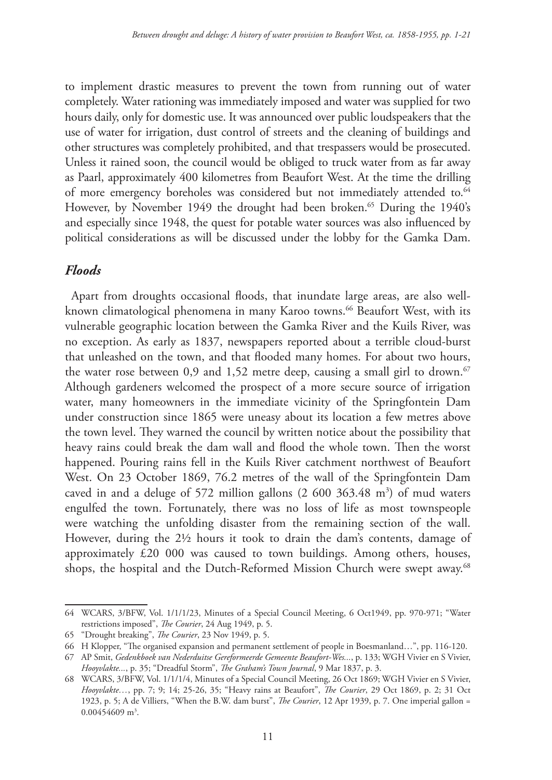to implement drastic measures to prevent the town from running out of water completely. Water rationing was immediately imposed and water was supplied for two hours daily, only for domestic use. It was announced over public loudspeakers that the use of water for irrigation, dust control of streets and the cleaning of buildings and other structures was completely prohibited, and that trespassers would be prosecuted. Unless it rained soon, the council would be obliged to truck water from as far away as Paarl, approximately 400 kilometres from Beaufort West. At the time the drilling of more emergency boreholes was considered but not immediately attended to.<sup>64</sup> However, by November 1949 the drought had been broken.<sup>65</sup> During the 1940's and especially since 1948, the quest for potable water sources was also influenced by political considerations as will be discussed under the lobby for the Gamka Dam.

#### *Floods*

Apart from droughts occasional floods, that inundate large areas, are also wellknown climatological phenomena in many Karoo towns.<sup>66</sup> Beaufort West, with its vulnerable geographic location between the Gamka River and the Kuils River, was no exception. As early as 1837, newspapers reported about a terrible cloud-burst that unleashed on the town, and that flooded many homes. For about two hours, the water rose between 0,9 and 1,52 metre deep, causing a small girl to drown.<sup>67</sup> Although gardeners welcomed the prospect of a more secure source of irrigation water, many homeowners in the immediate vicinity of the Springfontein Dam under construction since 1865 were uneasy about its location a few metres above the town level. They warned the council by written notice about the possibility that heavy rains could break the dam wall and flood the whole town. Then the worst happened. Pouring rains fell in the Kuils River catchment northwest of Beaufort West. On 23 October 1869, 76.2 metres of the wall of the Springfontein Dam caved in and a deluge of 572 million gallons  $(2\,600\,363.48\, \text{m}^3)$  of mud waters engulfed the town. Fortunately, there was no loss of life as most townspeople were watching the unfolding disaster from the remaining section of the wall. However, during the 2½ hours it took to drain the dam's contents, damage of approximately £20 000 was caused to town buildings. Among others, houses, shops, the hospital and the Dutch-Reformed Mission Church were swept away.<sup>68</sup>

<sup>64</sup> WCARS, 3/BFW, Vol. 1/1/1/23, Minutes of a Special Council Meeting, 6 Oct1949, pp. 970-971; "Water restrictions imposed", *The Courier*, 24 Aug 1949, p. 5.

<sup>65</sup> "Drought breaking", *The Courier*, 23 Nov 1949, p. 5.

<sup>66</sup> H Klopper, "The organised expansion and permanent settlement of people in Boesmanland…", pp. 116-120.

<sup>67</sup> AP Smit, *Gedenkboek van Nederduitse Gereformeerde Gemeente Beaufort-Wes...*, p. 133; WGH Vivier en S Vivier, *Hooyvlakte...*, p. 35; "Dreadful Storm", *The Graham's Town Journal*, 9 Mar 1837, p. 3.

<sup>68</sup> WCARS, 3/BFW, Vol. 1/1/1/4, Minutes of a Special Council Meeting, 26 Oct 1869; WGH Vivier en S Vivier, *Hooyvlakte…*, pp. 7; 9; 14; 25-26, 35; "Heavy rains at Beaufort", *The Courier*, 29 Oct 1869, p. 2; 31 Oct 1923, p. 5; A de Villiers, "When the B.W. dam burst", *The Courier*, 12 Apr 1939, p. 7. One imperial gallon =  $0.00454609$  m<sup>3</sup>.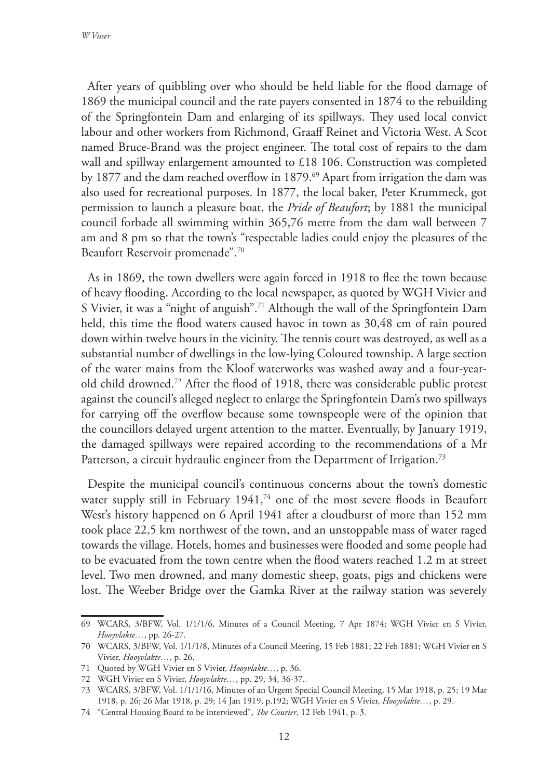*W Visser*

After years of quibbling over who should be held liable for the flood damage of 1869 the municipal council and the rate payers consented in 1874 to the rebuilding of the Springfontein Dam and enlarging of its spillways. They used local convict labour and other workers from Richmond, Graaff Reinet and Victoria West. A Scot named Bruce-Brand was the project engineer. The total cost of repairs to the dam wall and spillway enlargement amounted to £18 106. Construction was completed by 1877 and the dam reached overflow in 1879.<sup>69</sup> Apart from irrigation the dam was also used for recreational purposes. In 1877, the local baker, Peter Krummeck, got permission to launch a pleasure boat, the *Pride of Beaufort*; by 1881 the municipal council forbade all swimming within 365,76 metre from the dam wall between 7 am and 8 pm so that the town's "respectable ladies could enjoy the pleasures of the Beaufort Reservoir promenade".70

As in 1869, the town dwellers were again forced in 1918 to flee the town because of heavy flooding. According to the local newspaper, as quoted by WGH Vivier and S Vivier, it was a "night of anguish".71 Although the wall of the Springfontein Dam held, this time the flood waters caused havoc in town as 30,48 cm of rain poured down within twelve hours in the vicinity. The tennis court was destroyed, as well as a substantial number of dwellings in the low-lying Coloured township. A large section of the water mains from the Kloof waterworks was washed away and a four-yearold child drowned.72 After the flood of 1918, there was considerable public protest against the council's alleged neglect to enlarge the Springfontein Dam's two spillways for carrying off the overflow because some townspeople were of the opinion that the councillors delayed urgent attention to the matter. Eventually, by January 1919, the damaged spillways were repaired according to the recommendations of a Mr Patterson, a circuit hydraulic engineer from the Department of Irrigation.<sup>73</sup>

Despite the municipal council's continuous concerns about the town's domestic water supply still in February 1941,<sup>74</sup> one of the most severe floods in Beaufort West's history happened on 6 April 1941 after a cloudburst of more than 152 mm took place 22,5 km northwest of the town, and an unstoppable mass of water raged towards the village. Hotels, homes and businesses were flooded and some people had to be evacuated from the town centre when the flood waters reached 1.2 m at street level. Two men drowned, and many domestic sheep, goats, pigs and chickens were lost. The Weeber Bridge over the Gamka River at the railway station was severely

<sup>69</sup> WCARS, 3/BFW, Vol. 1/1/1/6, Minutes of a Council Meeting, 7 Apr 1874; WGH Vivier en S Vivier, *Hooyvlakte…*, pp. 26-27.

<sup>70</sup> WCARS, 3/BFW, Vol. 1/1/1/8, Minutes of a Council Meeting, 15 Feb 1881; 22 Feb 1881; WGH Vivier en S Vivier, *Hooyvlakte…*, p. 26.

<sup>71</sup> Quoted by WGH Vivier en S Vivier, *Hooyvlakte…*, p. 36.

<sup>72</sup> WGH Vivier en S Vivier, *Hooyvlakte…*, pp. 29, 34, 36-37..

<sup>73</sup> WCARS, 3/BFW, Vol. 1/1/1/16, Minutes of an Urgent Special Council Meeting, 15 Mar 1918, p. 25; 19 Mar 1918, p. 26; 26 Mar 1918, p. 29; 14 Jan 1919, p.192; WGH Vivier en S Vivier, *Hooyvlakte…*, p. 29.

<sup>74</sup> "Central Housing Board to be interviewed", *The Courier*, 12 Feb 1941, p. 3.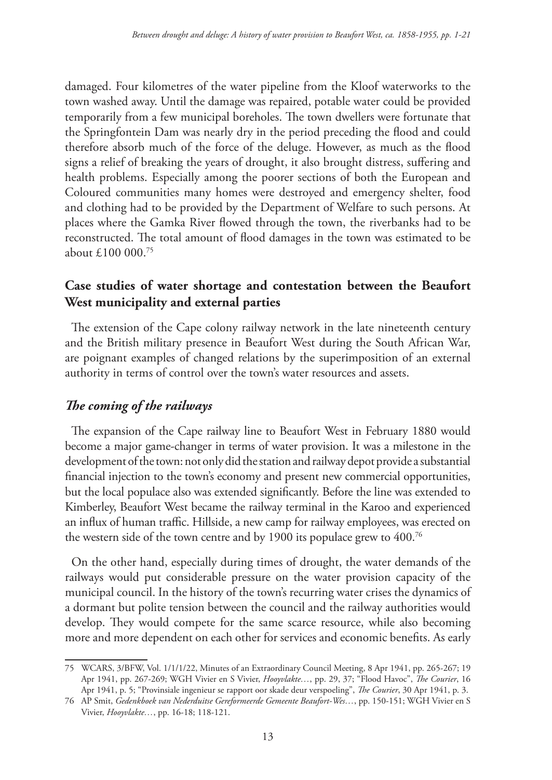damaged. Four kilometres of the water pipeline from the Kloof waterworks to the town washed away. Until the damage was repaired, potable water could be provided temporarily from a few municipal boreholes. The town dwellers were fortunate that the Springfontein Dam was nearly dry in the period preceding the flood and could therefore absorb much of the force of the deluge. However, as much as the flood signs a relief of breaking the years of drought, it also brought distress, suffering and health problems. Especially among the poorer sections of both the European and Coloured communities many homes were destroyed and emergency shelter, food and clothing had to be provided by the Department of Welfare to such persons. At places where the Gamka River flowed through the town, the riverbanks had to be reconstructed. The total amount of flood damages in the town was estimated to be about  $£100,000$ <sup>75</sup>

## **Case studies of water shortage and contestation between the Beaufort West municipality and external parties**

The extension of the Cape colony railway network in the late nineteenth century and the British military presence in Beaufort West during the South African War, are poignant examples of changed relations by the superimposition of an external authority in terms of control over the town's water resources and assets.

### *The coming of the railways*

The expansion of the Cape railway line to Beaufort West in February 1880 would become a major game-changer in terms of water provision. It was a milestone in the development of the town: not only did the station and railway depot provide a substantial financial injection to the town's economy and present new commercial opportunities, but the local populace also was extended significantly. Before the line was extended to Kimberley, Beaufort West became the railway terminal in the Karoo and experienced an influx of human traffic. Hillside, a new camp for railway employees, was erected on the western side of the town centre and by 1900 its populace grew to 400.<sup>76</sup>

On the other hand, especially during times of drought, the water demands of the railways would put considerable pressure on the water provision capacity of the municipal council. In the history of the town's recurring water crises the dynamics of a dormant but polite tension between the council and the railway authorities would develop. They would compete for the same scarce resource, while also becoming more and more dependent on each other for services and economic benefits. As early

<sup>75</sup> WCARS, 3/BFW, Vol. 1/1/1/22, Minutes of an Extraordinary Council Meeting, 8 Apr 1941, pp. 265-267; 19 Apr 1941, pp. 267-269; WGH Vivier en S Vivier, *Hooyvlakte…*, pp. 29, 37; "Flood Havoc", *The Courier*, 16 Apr 1941, p. 5; "Provinsiale ingenieur se rapport oor skade deur verspoeling", *The Courier*, 30 Apr 1941, p. 3.

<sup>76</sup> AP Smit, *Gedenkboek van Nederduitse Gereformeerde Gemeente Beaufort-Wes…*, pp. 150-151; WGH Vivier en S Vivier, *Hooyvlakte…*, pp. 16-18; 118-121.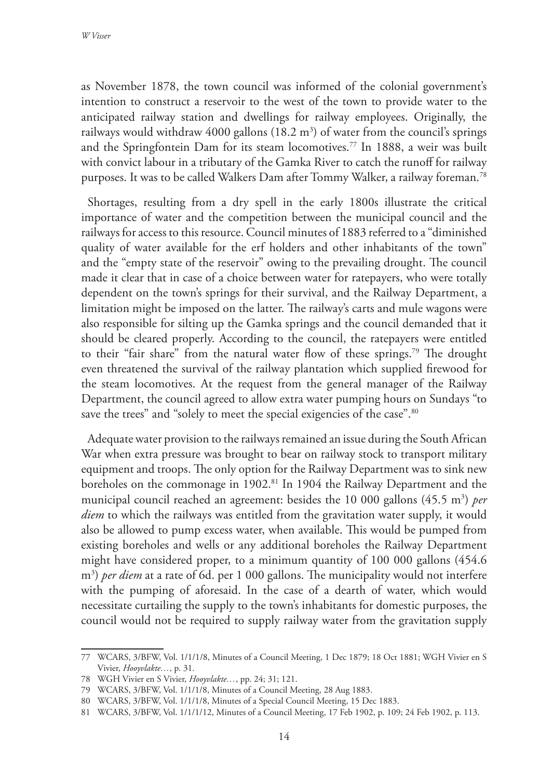as November 1878, the town council was informed of the colonial government's intention to construct a reservoir to the west of the town to provide water to the anticipated railway station and dwellings for railway employees. Originally, the railways would withdraw 4000 gallons  $(18.2 \text{ m}^3)$  of water from the council's springs and the Springfontein Dam for its steam locomotives.77 In 1888, a weir was built with convict labour in a tributary of the Gamka River to catch the runoff for railway purposes. It was to be called Walkers Dam after Tommy Walker, a railway foreman.78

Shortages, resulting from a dry spell in the early 1800s illustrate the critical importance of water and the competition between the municipal council and the railways for access to this resource. Council minutes of 1883 referred to a "diminished quality of water available for the erf holders and other inhabitants of the town" and the "empty state of the reservoir" owing to the prevailing drought. The council made it clear that in case of a choice between water for ratepayers, who were totally dependent on the town's springs for their survival, and the Railway Department, a limitation might be imposed on the latter. The railway's carts and mule wagons were also responsible for silting up the Gamka springs and the council demanded that it should be cleared properly. According to the council, the ratepayers were entitled to their "fair share" from the natural water flow of these springs.79 The drought even threatened the survival of the railway plantation which supplied firewood for the steam locomotives. At the request from the general manager of the Railway Department, the council agreed to allow extra water pumping hours on Sundays "to save the trees" and "solely to meet the special exigencies of the case".<sup>80</sup>

Adequate water provision to the railways remained an issue during the South African War when extra pressure was brought to bear on railway stock to transport military equipment and troops. The only option for the Railway Department was to sink new boreholes on the commonage in 1902.<sup>81</sup> In 1904 the Railway Department and the municipal council reached an agreement: besides the 10 000 gallons (45.5 m3 ) *per diem* to which the railways was entitled from the gravitation water supply, it would also be allowed to pump excess water, when available. This would be pumped from existing boreholes and wells or any additional boreholes the Railway Department might have considered proper, to a minimum quantity of 100 000 gallons (454.6 m3 ) *per diem* at a rate of 6d. per 1 000 gallons. The municipality would not interfere with the pumping of aforesaid. In the case of a dearth of water, which would necessitate curtailing the supply to the town's inhabitants for domestic purposes, the council would not be required to supply railway water from the gravitation supply

<sup>77</sup> WCARS, 3/BFW, Vol. 1/1/1/8, Minutes of a Council Meeting, 1 Dec 1879; 18 Oct 1881; WGH Vivier en S Vivier, *Hooyvlakte…*, p. 31.

<sup>78</sup> WGH Vivier en S Vivier, *Hooyvlakte…*, pp. 24; 31; 121.

<sup>79</sup> WCARS, 3/BFW, Vol. 1/1/1/8, Minutes of a Council Meeting, 28 Aug 1883.

<sup>80</sup> WCARS, 3/BFW, Vol. 1/1/1/8, Minutes of a Special Council Meeting, 15 Dec 1883.

<sup>81</sup> WCARS, 3/BFW, Vol. 1/1/1/12, Minutes of a Council Meeting, 17 Feb 1902, p. 109; 24 Feb 1902, p. 113.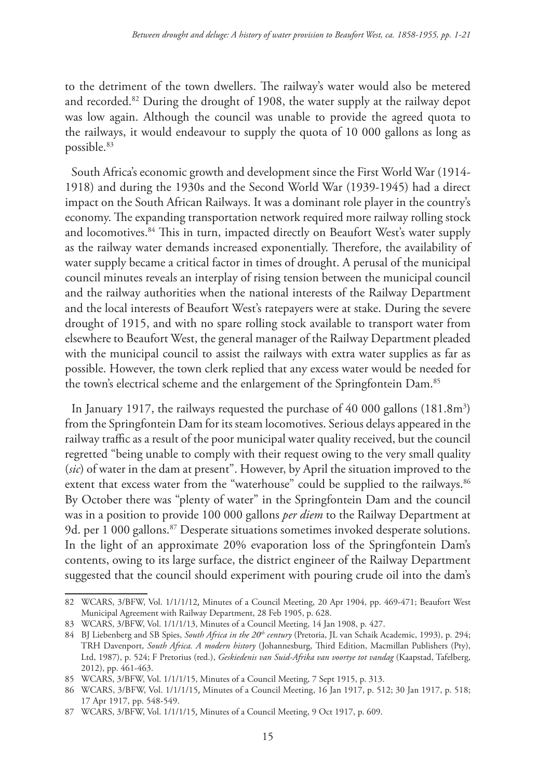to the detriment of the town dwellers. The railway's water would also be metered and recorded.82 During the drought of 1908, the water supply at the railway depot was low again. Although the council was unable to provide the agreed quota to the railways, it would endeavour to supply the quota of 10 000 gallons as long as possible.<sup>83</sup>

South Africa's economic growth and development since the First World War (1914- 1918) and during the 1930s and the Second World War (1939-1945) had a direct impact on the South African Railways. It was a dominant role player in the country's economy. The expanding transportation network required more railway rolling stock and locomotives.<sup>84</sup> This in turn, impacted directly on Beaufort West's water supply as the railway water demands increased exponentially. Therefore, the availability of water supply became a critical factor in times of drought. A perusal of the municipal council minutes reveals an interplay of rising tension between the municipal council and the railway authorities when the national interests of the Railway Department and the local interests of Beaufort West's ratepayers were at stake. During the severe drought of 1915, and with no spare rolling stock available to transport water from elsewhere to Beaufort West, the general manager of the Railway Department pleaded with the municipal council to assist the railways with extra water supplies as far as possible. However, the town clerk replied that any excess water would be needed for the town's electrical scheme and the enlargement of the Springfontein Dam.<sup>85</sup>

In January 1917, the railways requested the purchase of  $40\ 000\ \text{gallons}$   $(181.8\text{m}^3)$ from the Springfontein Dam for its steam locomotives. Serious delays appeared in the railway traffic as a result of the poor municipal water quality received, but the council regretted "being unable to comply with their request owing to the very small quality (*sic*) of water in the dam at present". However, by April the situation improved to the extent that excess water from the "waterhouse" could be supplied to the railways.<sup>86</sup> By October there was "plenty of water" in the Springfontein Dam and the council was in a position to provide 100 000 gallons *per diem* to the Railway Department at 9d. per 1 000 gallons.<sup>87</sup> Desperate situations sometimes invoked desperate solutions. In the light of an approximate 20% evaporation loss of the Springfontein Dam's contents, owing to its large surface, the district engineer of the Railway Department suggested that the council should experiment with pouring crude oil into the dam's

<sup>82</sup> WCARS, 3/BFW, Vol. 1/1/1/12, Minutes of a Council Meeting, 20 Apr 1904, pp. 469-471; Beaufort West Municipal Agreement with Railway Department, 28 Feb 1905, p. 628.

<sup>83</sup> WCARS, 3/BFW, Vol. 1/1/1/13, Minutes of a Council Meeting, 14 Jan 1908, p. 427.

<sup>84</sup> BJ Liebenberg and SB Spies, *South Africa in the 20<sup>th</sup> century* (Pretoria, JL van Schaik Academic, 1993), p. 294; TRH Davenport, *South Africa. A modern history* (Johannesburg, Third Edition, Macmillan Publishers (Pty), Ltd, 1987), p. 524; F Pretorius (red.), *Geskiedenis van Suid-Afrika van voortye tot vandag* (Kaapstad, Tafelberg, 2012), pp. 461-463.

<sup>85</sup> WCARS, 3/BFW, Vol. 1/1/1/15, Minutes of a Council Meeting, 7 Sept 1915, p. 313.

<sup>86</sup> WCARS, 3/BFW, Vol. 1/1/1/15, Minutes of a Council Meeting, 16 Jan 1917, p. 512; 30 Jan 1917, p. 518; 17 Apr 1917, pp. 548-549.

<sup>87</sup> WCARS, 3/BFW, Vol. 1/1/1/15, Minutes of a Council Meeting, 9 Oct 1917, p. 609.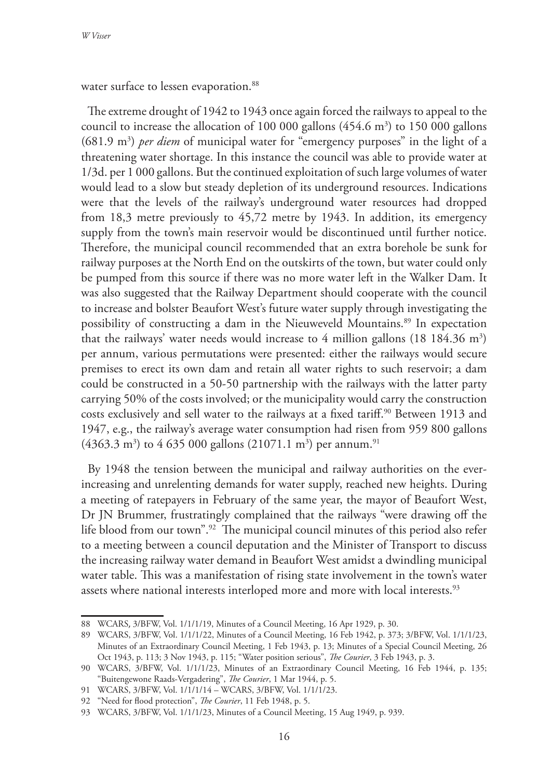water surface to lessen evaporation.<sup>88</sup>

The extreme drought of 1942 to 1943 once again forced the railways to appeal to the council to increase the allocation of  $100\ 000\ \text{gallons}$  (454.6 m<sup>3</sup>) to  $150\ 000\ \text{gallons}$ (681.9 m3 ) *per diem* of municipal water for "emergency purposes" in the light of a threatening water shortage. In this instance the council was able to provide water at 1/3d. per 1 000 gallons. But the continued exploitation of such large volumes of water would lead to a slow but steady depletion of its underground resources. Indications were that the levels of the railway's underground water resources had dropped from 18,3 metre previously to 45,72 metre by 1943. In addition, its emergency supply from the town's main reservoir would be discontinued until further notice. Therefore, the municipal council recommended that an extra borehole be sunk for railway purposes at the North End on the outskirts of the town, but water could only be pumped from this source if there was no more water left in the Walker Dam. It was also suggested that the Railway Department should cooperate with the council to increase and bolster Beaufort West's future water supply through investigating the possibility of constructing a dam in the Nieuweveld Mountains.89 In expectation that the railways' water needs would increase to 4 million gallons  $(18\;184.36\;m^3)$ per annum, various permutations were presented: either the railways would secure premises to erect its own dam and retain all water rights to such reservoir; a dam could be constructed in a 50-50 partnership with the railways with the latter party carrying 50% of the costs involved; or the municipality would carry the construction costs exclusively and sell water to the railways at a fixed tariff.<sup>90</sup> Between 1913 and 1947, e.g., the railway's average water consumption had risen from 959 800 gallons  $(4363.3 \text{ m}^3)$  to  $4\,635\,000 \text{ gallons } (21071.1 \text{ m}^3)$  per annum.<sup>91</sup>

By 1948 the tension between the municipal and railway authorities on the everincreasing and unrelenting demands for water supply, reached new heights. During a meeting of ratepayers in February of the same year, the mayor of Beaufort West, Dr JN Brummer, frustratingly complained that the railways "were drawing off the life blood from our town".92 The municipal council minutes of this period also refer to a meeting between a council deputation and the Minister of Transport to discuss the increasing railway water demand in Beaufort West amidst a dwindling municipal water table. This was a manifestation of rising state involvement in the town's water assets where national interests interloped more and more with local interests.<sup>93</sup>

<sup>88</sup> WCARS, 3/BFW, Vol. 1/1/1/19, Minutes of a Council Meeting, 16 Apr 1929, p. 30.

<sup>89</sup> WCARS, 3/BFW, Vol. 1/1/1/22, Minutes of a Council Meeting, 16 Feb 1942, p. 373; 3/BFW, Vol. 1/1/1/23, Minutes of an Extraordinary Council Meeting, 1 Feb 1943, p. 13; Minutes of a Special Council Meeting, 26 Oct 1943, p. 113; 3 Nov 1943, p. 115; "Water position serious", *The Courier*, 3 Feb 1943, p. 3.

<sup>90</sup> WCARS, 3/BFW, Vol. 1/1/1/23, Minutes of an Extraordinary Council Meeting, 16 Feb 1944, p. 135; "Buitengewone Raads-Vergadering", *The Courier*, 1 Mar 1944, p. 5.

<sup>91</sup> WCARS, 3/BFW, Vol. 1/1/1/14 – WCARS, 3/BFW, Vol. 1/1/1/23.

<sup>92</sup> "Need for flood protection", *The Courier*, 11 Feb 1948, p. 5.

<sup>93</sup> WCARS, 3/BFW, Vol. 1/1/1/23, Minutes of a Council Meeting, 15 Aug 1949, p. 939.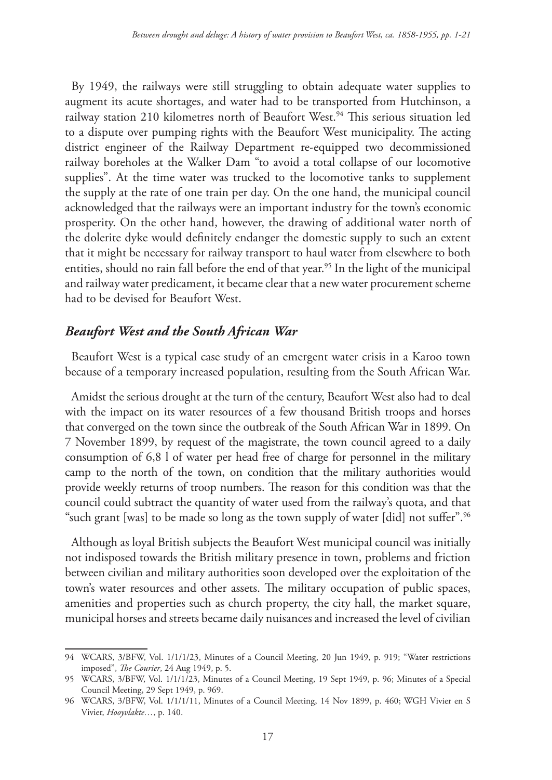By 1949, the railways were still struggling to obtain adequate water supplies to augment its acute shortages, and water had to be transported from Hutchinson, a railway station 210 kilometres north of Beaufort West.<sup>94</sup> This serious situation led to a dispute over pumping rights with the Beaufort West municipality. The acting district engineer of the Railway Department re-equipped two decommissioned railway boreholes at the Walker Dam "to avoid a total collapse of our locomotive supplies". At the time water was trucked to the locomotive tanks to supplement the supply at the rate of one train per day. On the one hand, the municipal council acknowledged that the railways were an important industry for the town's economic prosperity. On the other hand, however, the drawing of additional water north of the dolerite dyke would definitely endanger the domestic supply to such an extent that it might be necessary for railway transport to haul water from elsewhere to both entities, should no rain fall before the end of that year.<sup>95</sup> In the light of the municipal and railway water predicament, it became clear that a new water procurement scheme had to be devised for Beaufort West.

### *Beaufort West and the South African War*

Beaufort West is a typical case study of an emergent water crisis in a Karoo town because of a temporary increased population, resulting from the South African War.

Amidst the serious drought at the turn of the century, Beaufort West also had to deal with the impact on its water resources of a few thousand British troops and horses that converged on the town since the outbreak of the South African War in 1899. On 7 November 1899, by request of the magistrate, the town council agreed to a daily consumption of 6,8 l of water per head free of charge for personnel in the military camp to the north of the town, on condition that the military authorities would provide weekly returns of troop numbers. The reason for this condition was that the council could subtract the quantity of water used from the railway's quota, and that "such grant [was] to be made so long as the town supply of water [did] not suffer".<sup>96</sup>

Although as loyal British subjects the Beaufort West municipal council was initially not indisposed towards the British military presence in town, problems and friction between civilian and military authorities soon developed over the exploitation of the town's water resources and other assets. The military occupation of public spaces, amenities and properties such as church property, the city hall, the market square, municipal horses and streets became daily nuisances and increased the level of civilian

<sup>94</sup> WCARS, 3/BFW, Vol. 1/1/1/23, Minutes of a Council Meeting, 20 Jun 1949, p. 919; "Water restrictions imposed", *The Courier*, 24 Aug 1949, p. 5.

<sup>95</sup> WCARS, 3/BFW, Vol. 1/1/1/23, Minutes of a Council Meeting, 19 Sept 1949, p. 96; Minutes of a Special Council Meeting, 29 Sept 1949, p. 969.

<sup>96</sup> WCARS, 3/BFW, Vol. 1/1/1/11, Minutes of a Council Meeting, 14 Nov 1899, p. 460; WGH Vivier en S Vivier, *Hooyvlakte…*, p. 140.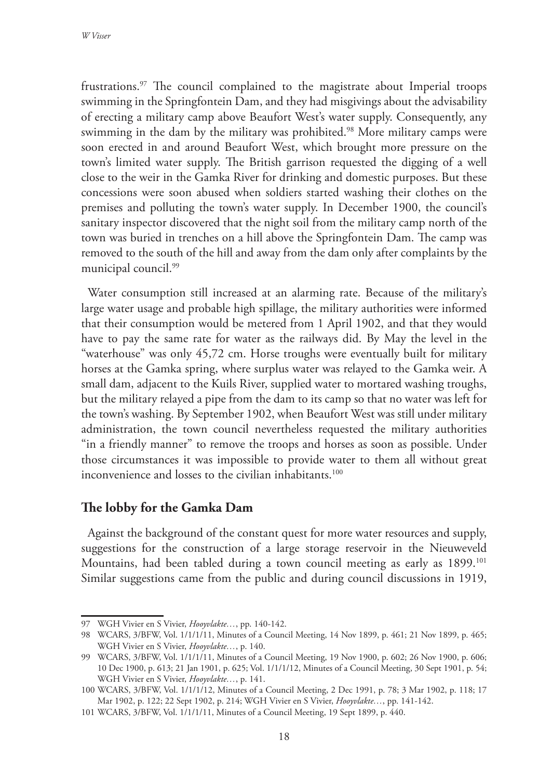frustrations.97 The council complained to the magistrate about Imperial troops swimming in the Springfontein Dam, and they had misgivings about the advisability of erecting a military camp above Beaufort West's water supply. Consequently, any swimming in the dam by the military was prohibited.<sup>98</sup> More military camps were soon erected in and around Beaufort West, which brought more pressure on the town's limited water supply. The British garrison requested the digging of a well close to the weir in the Gamka River for drinking and domestic purposes. But these concessions were soon abused when soldiers started washing their clothes on the premises and polluting the town's water supply. In December 1900, the council's sanitary inspector discovered that the night soil from the military camp north of the town was buried in trenches on a hill above the Springfontein Dam. The camp was removed to the south of the hill and away from the dam only after complaints by the municipal council.99

Water consumption still increased at an alarming rate. Because of the military's large water usage and probable high spillage, the military authorities were informed that their consumption would be metered from 1 April 1902, and that they would have to pay the same rate for water as the railways did. By May the level in the "waterhouse" was only 45,72 cm. Horse troughs were eventually built for military horses at the Gamka spring, where surplus water was relayed to the Gamka weir. A small dam, adjacent to the Kuils River, supplied water to mortared washing troughs, but the military relayed a pipe from the dam to its camp so that no water was left for the town's washing. By September 1902, when Beaufort West was still under military administration, the town council nevertheless requested the military authorities "in a friendly manner" to remove the troops and horses as soon as possible. Under those circumstances it was impossible to provide water to them all without great inconvenience and losses to the civilian inhabitants.<sup>100</sup>

#### **The lobby for the Gamka Dam**

Against the background of the constant quest for more water resources and supply, suggestions for the construction of a large storage reservoir in the Nieuweveld Mountains, had been tabled during a town council meeting as early as 1899.<sup>101</sup> Similar suggestions came from the public and during council discussions in 1919,

<sup>97</sup> WGH Vivier en S Vivier, *Hooyvlakte…*, pp. 140-142.

<sup>98</sup> WCARS, 3/BFW, Vol. 1/1/1/11, Minutes of a Council Meeting, 14 Nov 1899, p. 461; 21 Nov 1899, p. 465; WGH Vivier en S Vivier, *Hooyvlakte…*, p. 140.

<sup>99</sup> WCARS, 3/BFW, Vol. 1/1/1/11, Minutes of a Council Meeting, 19 Nov 1900, p. 602; 26 Nov 1900, p. 606; 10 Dec 1900, p. 613; 21 Jan 1901, p. 625; Vol. 1/1/1/12, Minutes of a Council Meeting, 30 Sept 1901, p. 54; WGH Vivier en S Vivier, *Hooyvlakte…*, p. 141.

<sup>100</sup> WCARS, 3/BFW, Vol. 1/1/1/12, Minutes of a Council Meeting, 2 Dec 1991, p. 78; 3 Mar 1902, p. 118; 17 Mar 1902, p. 122; 22 Sept 1902, p. 214; WGH Vivier en S Vivier, *Hooyvlakte…*, pp. 141-142.

<sup>101</sup> WCARS, 3/BFW, Vol. 1/1/1/11, Minutes of a Council Meeting, 19 Sept 1899, p. 440.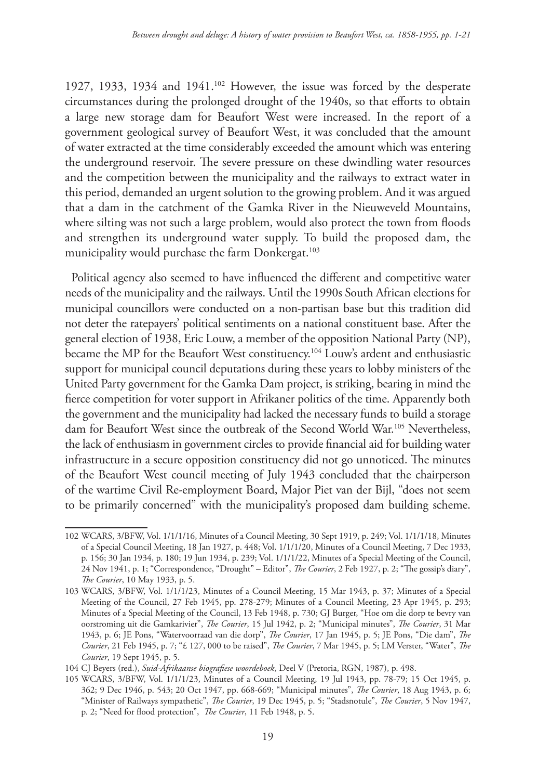1927, 1933, 1934 and 1941.102 However, the issue was forced by the desperate circumstances during the prolonged drought of the 1940s, so that efforts to obtain a large new storage dam for Beaufort West were increased. In the report of a government geological survey of Beaufort West, it was concluded that the amount of water extracted at the time considerably exceeded the amount which was entering the underground reservoir. The severe pressure on these dwindling water resources and the competition between the municipality and the railways to extract water in this period, demanded an urgent solution to the growing problem. And it was argued that a dam in the catchment of the Gamka River in the Nieuweveld Mountains, where silting was not such a large problem, would also protect the town from floods and strengthen its underground water supply. To build the proposed dam, the municipality would purchase the farm Donkergat.<sup>103</sup>

Political agency also seemed to have influenced the different and competitive water needs of the municipality and the railways. Until the 1990s South African elections for municipal councillors were conducted on a non-partisan base but this tradition did not deter the ratepayers' political sentiments on a national constituent base. After the general election of 1938, Eric Louw, a member of the opposition National Party (NP), became the MP for the Beaufort West constituency.104 Louw's ardent and enthusiastic support for municipal council deputations during these years to lobby ministers of the United Party government for the Gamka Dam project, is striking, bearing in mind the fierce competition for voter support in Afrikaner politics of the time. Apparently both the government and the municipality had lacked the necessary funds to build a storage dam for Beaufort West since the outbreak of the Second World War.<sup>105</sup> Nevertheless, the lack of enthusiasm in government circles to provide financial aid for building water infrastructure in a secure opposition constituency did not go unnoticed. The minutes of the Beaufort West council meeting of July 1943 concluded that the chairperson of the wartime Civil Re-employment Board, Major Piet van der Bijl, "does not seem to be primarily concerned" with the municipality's proposed dam building scheme.

<sup>102</sup> WCARS, 3/BFW, Vol. 1/1/1/16, Minutes of a Council Meeting, 30 Sept 1919, p. 249; Vol. 1/1/1/18, Minutes of a Special Council Meeting, 18 Jan 1927, p. 448; Vol. 1/1/1/20, Minutes of a Council Meeting, 7 Dec 1933, p. 156; 30 Jan 1934, p. 180; 19 Jun 1934, p. 239; Vol. 1/1/1/22, Minutes of a Special Meeting of the Council, 24 Nov 1941, p. 1; "Correspondence, "Drought" – Editor", *The Courier*, 2 Feb 1927, p. 2; "The gossip's diary", *The Courier*, 10 May 1933, p. 5.

<sup>103</sup> WCARS, 3/BFW, Vol. 1/1/1/23, Minutes of a Council Meeting, 15 Mar 1943, p. 37; Minutes of a Special Meeting of the Council, 27 Feb 1945, pp. 278-279; Minutes of a Council Meeting, 23 Apr 1945, p. 293; Minutes of a Special Meeting of the Council, 13 Feb 1948, p. 730; GJ Burger, "Hoe om die dorp te bevry van oorstroming uit die Gamkarivier", *The Courier*, 15 Jul 1942, p. 2; "Municipal minutes", *The Courier*, 31 Mar 1943, p. 6; JE Pons, "Watervoorraad van die dorp", *The Courier*, 17 Jan 1945, p. 5; JE Pons, "Die dam", *The Courier*, 21 Feb 1945, p. 7; "£ 127, 000 to be raised", *The Courier*, 7 Mar 1945, p. 5; LM Verster, "Water", *The Courier*, 19 Sept 1945, p. 5.

<sup>104</sup> CJ Beyers (red.), *Suid-Afrikaanse biografiese woordeboek*, Deel V (Pretoria, RGN, 1987), p. 498.

<sup>105</sup> WCARS, 3/BFW, Vol. 1/1/1/23, Minutes of a Council Meeting, 19 Jul 1943, pp. 78-79; 15 Oct 1945, p. 362; 9 Dec 1946, p. 543; 20 Oct 1947, pp. 668-669; "Municipal minutes", *The Courier*, 18 Aug 1943, p. 6; "Minister of Railways sympathetic", *The Courier*, 19 Dec 1945, p. 5; "Stadsnotule", *The Courier*, 5 Nov 1947, p. 2; "Need for flood protection", *The Courier*, 11 Feb 1948, p. 5.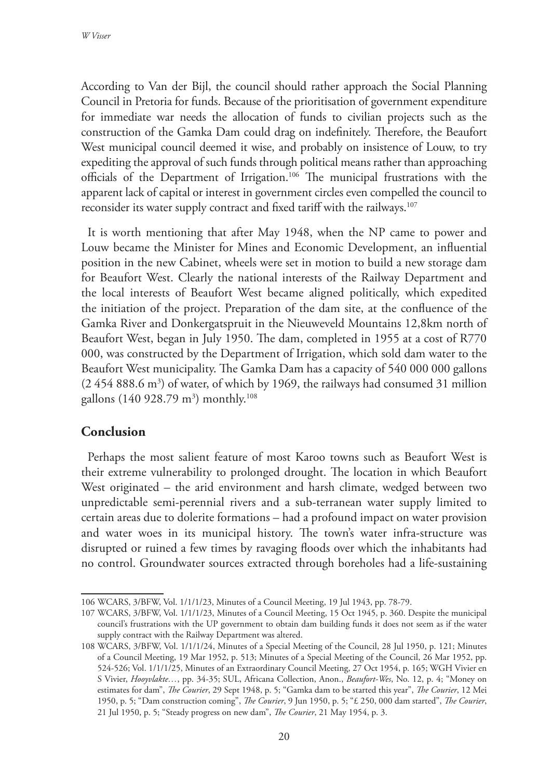According to Van der Bijl, the council should rather approach the Social Planning Council in Pretoria for funds. Because of the prioritisation of government expenditure for immediate war needs the allocation of funds to civilian projects such as the construction of the Gamka Dam could drag on indefinitely. Therefore, the Beaufort West municipal council deemed it wise, and probably on insistence of Louw, to try expediting the approval of such funds through political means rather than approaching officials of the Department of Irrigation.106 The municipal frustrations with the apparent lack of capital or interest in government circles even compelled the council to reconsider its water supply contract and fixed tariff with the railways.<sup>107</sup>

It is worth mentioning that after May 1948, when the NP came to power and Louw became the Minister for Mines and Economic Development, an influential position in the new Cabinet, wheels were set in motion to build a new storage dam for Beaufort West. Clearly the national interests of the Railway Department and the local interests of Beaufort West became aligned politically, which expedited the initiation of the project. Preparation of the dam site, at the confluence of the Gamka River and Donkergatspruit in the Nieuweveld Mountains 12,8km north of Beaufort West, began in July 1950. The dam, completed in 1955 at a cost of R770 000, was constructed by the Department of Irrigation, which sold dam water to the Beaufort West municipality. The Gamka Dam has a capacity of 540 000 000 gallons  $(2.454888.6 \text{ m}^3)$  of water, of which by 1969, the railways had consumed 31 million gallons (140 928.79 m<sup>3</sup>) monthly.<sup>108</sup>

### **Conclusion**

Perhaps the most salient feature of most Karoo towns such as Beaufort West is their extreme vulnerability to prolonged drought. The location in which Beaufort West originated – the arid environment and harsh climate, wedged between two unpredictable semi-perennial rivers and a sub-terranean water supply limited to certain areas due to dolerite formations – had a profound impact on water provision and water woes in its municipal history. The town's water infra-structure was disrupted or ruined a few times by ravaging floods over which the inhabitants had no control. Groundwater sources extracted through boreholes had a life-sustaining

<sup>106</sup> WCARS, 3/BFW, Vol. 1/1/1/23, Minutes of a Council Meeting, 19 Jul 1943, pp. 78-79.

<sup>107</sup> WCARS, 3/BFW, Vol. 1/1/1/23, Minutes of a Council Meeting, 15 Oct 1945, p. 360. Despite the municipal council's frustrations with the UP government to obtain dam building funds it does not seem as if the water supply contract with the Railway Department was altered.

<sup>108</sup> WCARS, 3/BFW, Vol. 1/1/1/24, Minutes of a Special Meeting of the Council, 28 Jul 1950, p. 121; Minutes of a Council Meeting, 19 Mar 1952, p. 513; Minutes of a Special Meeting of the Council, 26 Mar 1952, pp. 524-526; Vol. 1/1/1/25, Minutes of an Extraordinary Council Meeting, 27 Oct 1954, p. 165; WGH Vivier en S Vivier, *Hooyvlakte…*, pp. 34-35; SUL, Africana Collection, Anon., *Beaufort-Wes*, No. 12, p. 4; "Money on estimates for dam", *The Courier*, 29 Sept 1948, p. 5; "Gamka dam to be started this year", *The Courier*, 12 Mei 1950, p. 5; "Dam construction coming", *The Courier*, 9 Jun 1950, p. 5; "£ 250, 000 dam started", *The Courier*, 21 Jul 1950, p. 5; "Steady progress on new dam", *The Courier*, 21 May 1954, p. 3.